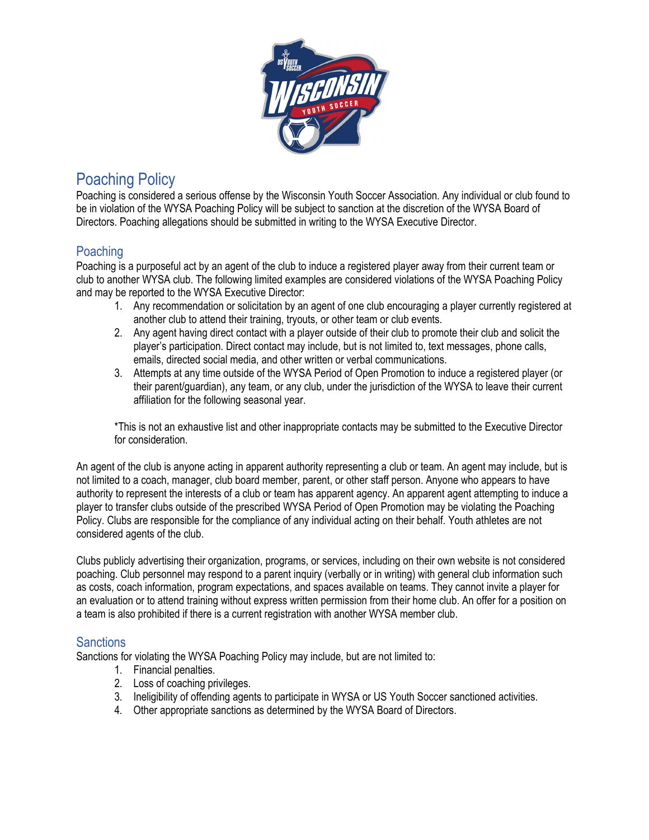

# Poaching Policy

Poaching is considered a serious offense by the Wisconsin Youth Soccer Association. Any individual or club found to be in violation of the WYSA Poaching Policy will be subject to sanction at the discretion of the WYSA Board of Directors. Poaching allegations should be submitted in writing to the WYSA Executive Director.

## Poaching

Poaching is a purposeful act by an agent of the club to induce a registered player away from their current team or club to another WYSA club. The following limited examples are considered violations of the WYSA Poaching Policy and may be reported to the WYSA Executive Director:

- 1. Any recommendation or solicitation by an agent of one club encouraging a player currently registered at another club to attend their training, tryouts, or other team or club events.
- 2. Any agent having direct contact with a player outside of their club to promote their club and solicit the player's participation. Direct contact may include, but is not limited to, text messages, phone calls, emails, directed social media, and other written or verbal communications.
- 3. Attempts at any time outside of the WYSA Period of Open Promotion to induce a registered player (or their parent/guardian), any team, or any club, under the jurisdiction of the WYSA to leave their current affiliation for the following seasonal year.

\*This is not an exhaustive list and other inappropriate contacts may be submitted to the Executive Director for consideration.

An agent of the club is anyone acting in apparent authority representing a club or team. An agent may include, but is not limited to a coach, manager, club board member, parent, or other staff person. Anyone who appears to have authority to represent the interests of a club or team has apparent agency. An apparent agent attempting to induce a player to transfer clubs outside of the prescribed WYSA Period of Open Promotion may be violating the Poaching Policy. Clubs are responsible for the compliance of any individual acting on their behalf. Youth athletes are not considered agents of the club.

Clubs publicly advertising their organization, programs, or services, including on their own website is not considered poaching. Club personnel may respond to a parent inquiry (verbally or in writing) with general club information such as costs, coach information, program expectations, and spaces available on teams. They cannot invite a player for an evaluation or to attend training without express written permission from their home club. An offer for a position on a team is also prohibited if there is a current registration with another WYSA member club.

#### **Sanctions**

Sanctions for violating the WYSA Poaching Policy may include, but are not limited to:

- 1. Financial penalties.
- 2. Loss of coaching privileges.
- 3. Ineligibility of offending agents to participate in WYSA or US Youth Soccer sanctioned activities.
- 4. Other appropriate sanctions as determined by the WYSA Board of Directors.